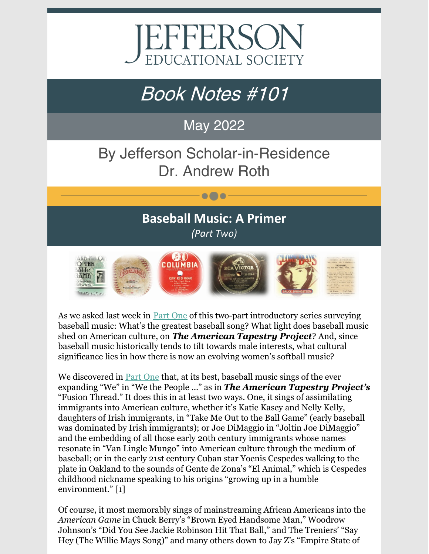

# Book Notes #101

### May 2022

## By Jefferson Scholar-in-Residence Dr. Andrew Roth

### **Baseball Music: A Primer** *(Part Two)*

 $\bullet\bullet\bullet$ 



As we asked last week in [Part](https://www.jeserie.org/uploads/Book Notes 100 Baseball Music A Primer Part One.pdf) One of this two-part introductory series surveying baseball music: What's the greatest baseball song? What light does baseball music shed on American culture, on *The American Tapestry Project*? And, since baseball music historically tends to tilt towards male interests, what cultural significance lies in how there is now an evolving women's softball music?

We discovered in <u>[Part](https://www.jeserie.org/uploads/Book Notes 100 Baseball Music A Primer Part One.pdf) One</u> that, at its best, baseball music sings of the ever expanding "We" in "We the People …" as in *The American Tapestry Project's* "Fusion Thread." It does this in at least two ways. One, it sings of assimilating immigrants into American culture, whether it's Katie Kasey and Nelly Kelly, daughters of Irish immigrants, in "Take Me Out to the Ball Game" (early baseball was dominated by Irish immigrants); or Joe DiMaggio in "Joltin Joe DiMaggio" and the embedding of all those early 20th century immigrants whose names resonate in "Van Lingle Mungo" into American culture through the medium of baseball; or in the early 21st century Cuban star Yoenis Cespedes walking to the plate in Oakland to the sounds of Gente de Zona's "El Animal," which is Cespedes childhood nickname speaking to his origins "growing up in a humble environment." [1]

Of course, it most memorably sings of mainstreaming African Americans into the *American Game* in Chuck Berry's "Brown Eyed Handsome Man," Woodrow Johnson's "Did You See Jackie Robinson Hit That Ball," and The Treniers' "Say Hey (The Willie Mays Song)" and many others down to Jay Z's "Empire State of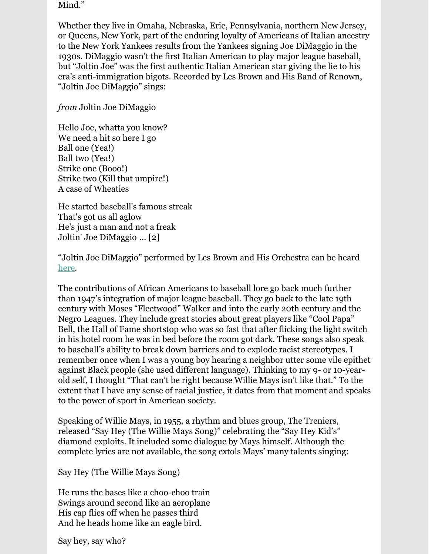Mind."

Whether they live in Omaha, Nebraska, Erie, Pennsylvania, northern New Jersey, or Queens, New York, part of the enduring loyalty of Americans of Italian ancestry to the New York Yankees results from the Yankees signing Joe DiMaggio in the 1930s. DiMaggio wasn't the first Italian American to play major league baseball, but "Joltin Joe" was the first authentic Italian American star giving the lie to his era's anti-immigration bigots. Recorded by Les Brown and His Band of Renown, "Joltin Joe DiMaggio" sings:

#### *from* Joltin Joe DiMaggio

Hello Joe, whatta you know? We need a hit so here I go Ball one (Yea!) Ball two (Yea!) Strike one (Booo!) Strike two (Kill that umpire!) A case of [Wheaties](https://genius.com/11835676/The-les-brown-orchestra-joltin-joe-dimaggio/A-case-of-wheaties)

He started [baseball's](https://genius.com/11835669/The-les-brown-orchestra-joltin-joe-dimaggio/He-started-baseballs-famous-streak-thats-got-us-all-aglow-hes-just-a-man-and-not-a-freak-joltin-joe-dimaggio) famous streak [That's](https://genius.com/11835669/The-les-brown-orchestra-joltin-joe-dimaggio/He-started-baseballs-famous-streak-thats-got-us-all-aglow-hes-just-a-man-and-not-a-freak-joltin-joe-dimaggio) got us all aglow He's just a man and not a [freak](https://genius.com/11835669/The-les-brown-orchestra-joltin-joe-dimaggio/He-started-baseballs-famous-streak-thats-got-us-all-aglow-hes-just-a-man-and-not-a-freak-joltin-joe-dimaggio) Joltin' Joe [DiMaggio](https://genius.com/11835669/The-les-brown-orchestra-joltin-joe-dimaggio/He-started-baseballs-famous-streak-thats-got-us-all-aglow-hes-just-a-man-and-not-a-freak-joltin-joe-dimaggio) … [2]

"Joltin Joe DiMaggio" performed by Les Brown and His Orchestra can be heard [here](https://www.youtube.com/watch?v=evB-nXLElZs).

The contributions of African Americans to baseball lore go back much further than 1947's integration of major league baseball. They go back to the late 19th century with Moses "Fleetwood" Walker and into the early 20th century and the Negro Leagues. They include great stories about great players like "Cool Papa" Bell, the Hall of Fame shortstop who was so fast that after flicking the light switch in his hotel room he was in bed before the room got dark. These songs also speak to baseball's ability to break down barriers and to explode racist stereotypes. I remember once when I was a young boy hearing a neighbor utter some vile epithet against Black people (she used different language). Thinking to my 9- or 10-yearold self, I thought "That can't be right because Willie Mays isn't like that." To the extent that I have any sense of racial justice, it dates from that moment and speaks to the power of sport in American society.

Speaking of Willie Mays, in 1955, a rhythm and blues group, The Treniers, released "Say Hey (The Willie Mays Song)" celebrating the "Say Hey Kid's" diamond exploits. It included some dialogue by Mays himself. Although the complete lyrics are not available, the song extols Mays' many talents singing:

#### Say Hey (The Willie Mays Song)

He runs the bases like a choo-choo train Swings around second like an aeroplane His cap flies off when he passes third And he heads home like an eagle bird.

Say hey, say who?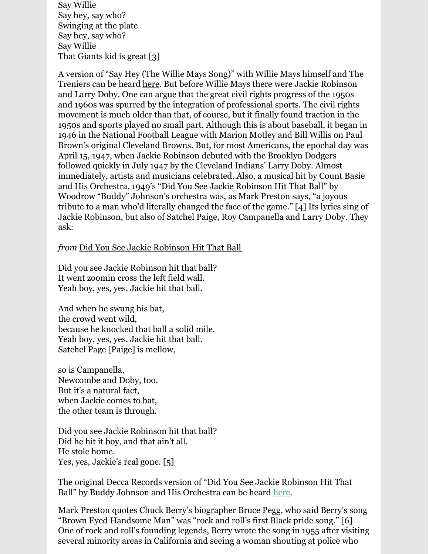Say Willie Say hey, say who? Swinging at the plate Say hey, say who? Say Willie That Giants kid is great [3]

A version of "Say Hey (The Willie Mays Song)" with Willie Mays himself and The Treniers can be heard [here](https://www.youtube.com/watch?v=UduDreaZq6c). But before Willie Mays there were Jackie Robinson and Larry Doby. One can argue that the great civil rights progress of the 1950s and 1960s was spurred by the integration of professional sports. The civil rights movement is much older than that, of course, but it finally found traction in the 1950s and sports played no small part. Although this is about baseball, it began in 1946 in the National Football League with Marion Motley and Bill Willis on Paul Brown's original Cleveland Browns. But, for most Americans, the epochal day was April 15, 1947, when Jackie Robinson debuted with the Brooklyn Dodgers followed quickly in July 1947 by the Cleveland Indians' Larry Doby. Almost immediately, artists and musicians celebrated. Also, a musical hit by Count Basie and His Orchestra, 1949's "Did You See Jackie Robinson Hit That Ball" by Woodrow "Buddy" Johnson's orchestra was, as Mark Preston says, "a joyous tribute to a man who'd literally changed the face of the game." [4] Its lyrics sing of Jackie Robinson, but also of Satchel Paige, Roy Campanella and Larry Doby. They ask:

#### *from* Did You See Jackie Robinson Hit That Ball

Did you see Jackie Robinson hit that ball? It went zoomin cross the left field wall. Yeah boy, yes, yes. Jackie hit that ball.

And when he swung his bat, the crowd went wild, because he knocked that ball a solid mile. Yeah boy, yes, yes. Jackie hit that ball. Satchel Page [Paige] is mellow,

so is Campanella, Newcombe and Doby, too. But it's a natural fact, when Jackie comes to bat, the other team is through.

Did you see Jackie Robinson hit that ball? Did he hit it boy, and that ain't all. He stole home. Yes, yes, Jackie's real gone. [5]

The original Decca Records version of "Did You See Jackie Robinson Hit That Ball" by Buddy Johnson and His Orchestra can be heard [here](https://www.youtube.com/watch?v=eiM5E6oTM70).

Mark Preston quotes Chuck Berry's biographer Bruce Pegg, who said Berry's song "Brown Eyed Handsome Man" was "rock and roll's first Black pride song." [6] One of rock and roll's founding legends, Berry wrote the song in 1955 after visiting several minority areas in California and seeing a woman shouting at police who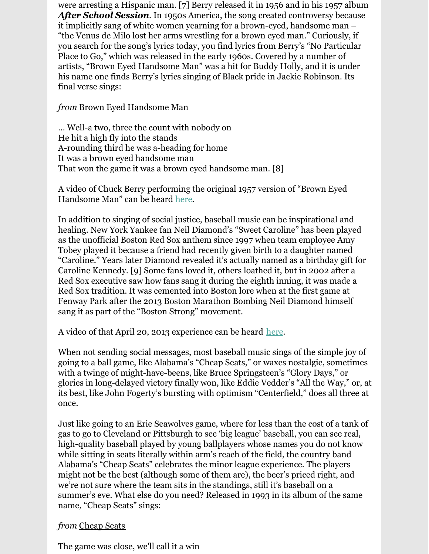were arresting a Hispanic man. [7] Berry released it in 1956 and in his 1957 album *After School Session*. In 1950s America, the song created controversy because it implicitly sang of white women yearning for a brown-eyed, handsome man – "the Venus de Milo lost her arms wrestling for a brown eyed man." Curiously, if you search for the song's lyrics today, you find lyrics from Berry's "No Particular Place to Go," which was released in the early 1960s. Covered by a number of artists, "Brown Eyed Handsome Man" was a hit for Buddy Holly, and it is under his name one finds Berry's lyrics singing of Black pride in Jackie Robinson. Its final verse sings:

*from* Brown Eyed Handsome Man

… Well-a two, three the count with nobody on He hit a high fly into the stands A-rounding third he was a-heading for home It was a brown eyed handsome man That won the game it was a brown eyed handsome man. [8]

A video of Chuck Berry performing the original 1957 version of "Brown Eyed Handsome Man" can be heard [here](https://www.youtube.com/watch?v=3AfD1cEZvKs).

In addition to singing of social justice, baseball music can be inspirational and healing. New York Yankee fan Neil Diamond's "Sweet Caroline" has been played as the unofficial Boston Red Sox anthem since 1997 when team employee Amy Tobey played it because a friend had recently given birth to a daughter named "Caroline." Years later Diamond revealed it's actually named as a birthday gift for Caroline Kennedy. [9] Some fans loved it, others loathed it, but in 2002 after a Red Sox executive saw how fans sang it during the eighth inning, it was made a Red Sox tradition. It was cemented into Boston lore when at the first game at Fenway Park after the 2013 Boston Marathon Bombing Neil Diamond himself sang it as part of the "Boston Strong" movement.

A video of that April 20, 2013 experience can be heard [here](https://www.youtube.com/watch?v=ZAo_kM_z_38).

When not sending social messages, most baseball music sings of the simple joy of going to a ball game, like Alabama's "Cheap Seats," or waxes nostalgic, sometimes with a twinge of might-have-beens, like Bruce Springsteen's "Glory Days," or glories in long-delayed victory finally won, like Eddie Vedder's "All the Way," or, at its best, like John Fogerty's bursting with optimism "Centerfield," does all three at once.

Just like going to an Erie Seawolves game, where for less than the cost of a tank of gas to go to Cleveland or Pittsburgh to see 'big league' baseball, you can see real, high-quality baseball played by young ballplayers whose names you do not know while sitting in seats literally within arm's reach of the field, the country band Alabama's "Cheap Seats" celebrates the minor league experience. The players might not be the best (although some of them are), the beer's priced right, and we're not sure where the team sits in the standings, still it's baseball on a summer's eve. What else do you need? Released in 1993 in its album of the same name, "Cheap Seats" sings:

#### *from* Cheap Seats

The game was close, we'll call it a win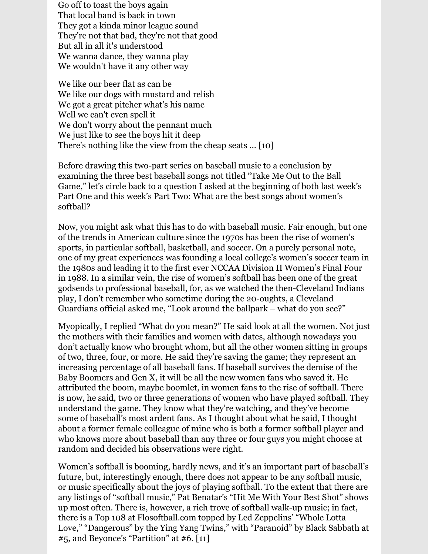Go off to toast the boys again That local band is back in town They got a kinda minor league sound They're not that bad, they're not that good But all in all it's understood We wanna dance, they wanna play We wouldn't have it any other way

We like our beer flat as can be We like our dogs with mustard and relish We got a great pitcher what's his name Well we can't even spell it We don't worry about the pennant much We just like to see the boys hit it deep There's nothing like the view from the cheap seats … [10]

Before drawing this two-part series on baseball music to a conclusion by examining the three best baseball songs not titled "Take Me Out to the Ball Game," let's circle back to a question I asked at the beginning of both last week's Part One and this week's Part Two: What are the best songs about women's softball?

Now, you might ask what this has to do with baseball music. Fair enough, but one of the trends in American culture since the 1970s has been the rise of women's sports, in particular softball, basketball, and soccer. On a purely personal note, one of my great experiences was founding a local college's women's soccer team in the 1980s and leading it to the first ever NCCAA Division II Women's Final Four in 1988. In a similar vein, the rise of women's softball has been one of the great godsends to professional baseball, for, as we watched the then-Cleveland Indians play, I don't remember who sometime during the 20-oughts, a Cleveland Guardians official asked me, "Look around the ballpark – what do you see?"

Myopically, I replied "What do you mean?" He said look at all the women. Not just the mothers with their families and women with dates, although nowadays you don't actually know who brought whom, but all the other women sitting in groups of two, three, four, or more. He said they're saving the game; they represent an increasing percentage of all baseball fans. If baseball survives the demise of the Baby Boomers and Gen X, it will be all the new women fans who saved it. He attributed the boom, maybe boomlet, in women fans to the rise of softball. There is now, he said, two or three generations of women who have played softball. They understand the game. They know what they're watching, and they've become some of baseball's most ardent fans. As I thought about what he said, I thought about a former female colleague of mine who is both a former softball player and who knows more about baseball than any three or four guys you might choose at random and decided his observations were right.

Women's softball is booming, hardly news, and it's an important part of baseball's future, but, interestingly enough, there does not appear to be any softball music, or music specifically about the joys of playing softball. To the extent that there are any listings of "softball music," Pat Benatar's "Hit Me With Your Best Shot" shows up most often. There is, however, a rich trove of softball walk-up music; in fact, there is a Top 108 at Flosoftball.com topped by Led Zeppelins' "Whole Lotta Love," "Dangerous" by the Ying Yang Twins," with "Paranoid" by Black Sabbath at #5, and Beyonce's "Partition" at #6. [11]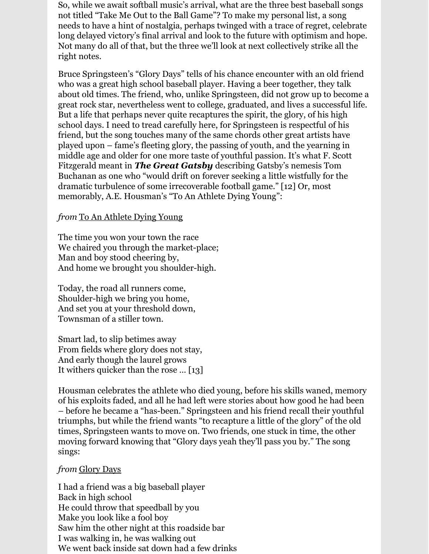So, while we await softball music's arrival, what are the three best baseball songs not titled "Take Me Out to the Ball Game"? To make my personal list, a song needs to have a hint of nostalgia, perhaps twinged with a trace of regret, celebrate long delayed victory's final arrival and look to the future with optimism and hope. Not many do all of that, but the three we'll look at next collectively strike all the right notes.

Bruce Springsteen's "Glory Days" tells of his chance encounter with an old friend who was a great high school baseball player. Having a beer together, they talk about old times. The friend, who, unlike Springsteen, did not grow up to become a great rock star, nevertheless went to college, graduated, and lives a successful life. But a life that perhaps never quite recaptures the spirit, the glory, of his high school days. I need to tread carefully here, for Springsteen is respectful of his friend, but the song touches many of the same chords other great artists have played upon – fame's fleeting glory, the passing of youth, and the yearning in middle age and older for one more taste of youthful passion. It's what F. Scott Fitzgerald meant in *The Great Gatsby* describing Gatsby's nemesis Tom Buchanan as one who "would drift on forever seeking a little wistfully for the dramatic turbulence of some irrecoverable football game." [12] Or, most memorably, A.E. Housman's "To An Athlete Dying Young":

#### *from* To An Athlete Dying Young

The time you won your town the race We chaired you through the market-place; Man and boy stood cheering by, And home we brought you shoulder-high.

Today, the road all runners come, Shoulder-high we bring you home, And set you at your threshold down, Townsman of a stiller town.

Smart lad, to slip betimes away From fields where glory does not stay, And early though the laurel grows It withers quicker than the rose … [13]

Housman celebrates the athlete who died young, before his skills waned, memory of his exploits faded, and all he had left were stories about how good he had been – before he became a "has-been." Springsteen and his friend recall their youthful triumphs, but while the friend wants "to recapture a little of the glory" of the old times, Springsteen wants to move on. Two friends, one stuck in time, the other moving forward knowing that "Glory days yeah they'll pass you by." The song sings:

#### *from* Glory Days

I had a friend was a big baseball player Back in high school He could throw that speedball by you Make you look like a fool boy Saw him the other night at this roadside bar I was walking in, he was walking out We went back inside sat down had a few drinks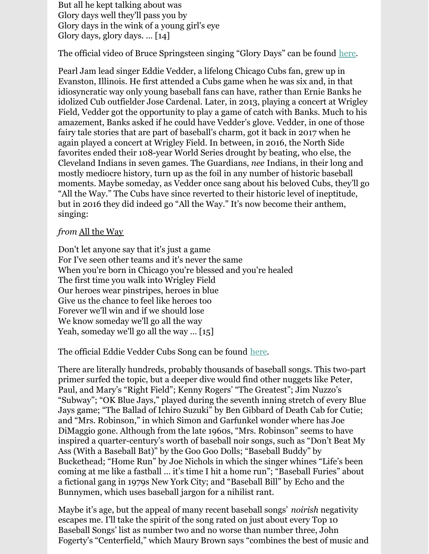But all he kept talking about was Glory days well they'll pass you by Glory days in the wink of a young girl's eye Glory days, glory days. … [14]

The official video of Bruce Springsteen singing "Glory Days" can be found [here](https://www.youtube.com/watch?v=6vQpW9XRiyM).

Pearl Jam lead singer Eddie Vedder, a lifelong Chicago Cubs fan, grew up in Evanston, Illinois. He first attended a Cubs game when he was six and, in that idiosyncratic way only young baseball fans can have, rather than Ernie Banks he idolized Cub outfielder Jose Cardenal. Later, in 2013, playing a concert at Wrigley Field, Vedder got the opportunity to play a game of catch with Banks. Much to his amazement, Banks asked if he could have Vedder's glove. Vedder, in one of those fairy tale stories that are part of baseball's charm, got it back in 2017 when he again played a concert at Wrigley Field. In between, in 2016, the North Side favorites ended their 108-year World Series drought by beating, who else, the Cleveland Indians in seven games. The Guardians, *nee* Indians, in their long and mostly mediocre history, turn up as the foil in any number of historic baseball moments. Maybe someday, as Vedder once sang about his beloved Cubs, they'll go "All the Way." The Cubs have since reverted to their historic level of ineptitude, but in 2016 they did indeed go "All the Way." It's now become their anthem, singing:

#### *from* All the Way

Don't let anyone say that it's just a game For I've seen other teams and it's never the same When you're born in Chicago you're blessed and you're healed The first time you walk into Wrigley Field Our heroes wear pinstripes, heroes in blue Give us the chance to feel like heroes too Forever we'll win and if we should lose We know someday we'll go all the way Yeah, someday we'll go all the way … [15]

The official Eddie Vedder Cubs Song can be found [here](https://www.youtube.com/watch?v=iQWbKqFVoeQ).

There are literally hundreds, probably thousands of baseball songs. This two-part primer surfed the topic, but a deeper dive would find other nuggets like Peter, Paul, and Mary's "Right Field"; Kenny Rogers' "The Greatest"; Jim Nuzzo's "Subway"; "OK Blue Jays," played during the seventh inning stretch of every Blue Jays game; "The Ballad of Ichiro Suzuki" by Ben Gibbard of Death Cab for Cutie; and "Mrs. Robinson," in which Simon and Garfunkel wonder where has Joe DiMaggio gone. Although from the late 1960s, "Mrs. Robinson" seems to have inspired a quarter-century's worth of baseball noir songs, such as "Don't Beat My Ass (With a Baseball Bat)" by the Goo Goo Dolls; "Baseball Buddy" by Buckethead; "Home Run" by Joe Nichols in which the singer whines "Life's been coming at me like a fastball … it's time I hit a home run"; "Baseball Furies" about a fictional gang in 1979s New York City; and "Baseball Bill" by Echo and the Bunnymen, which uses baseball jargon for a nihilist rant.

Maybe it's age, but the appeal of many recent baseball songs' *noirish* negativity escapes me. I'll take the spirit of the song rated on just about every Top 10 Baseball Songs' list as number two and no worse than number three, John Fogerty's "Centerfield," which Maury Brown says "combines the best of music and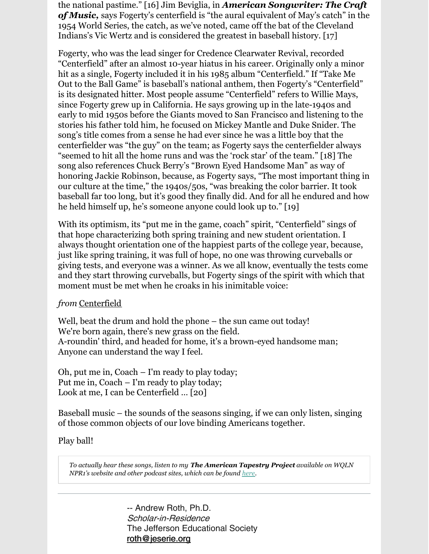the national pastime." [16] Jim Beviglia, in *American Songwriter: The Craft of Music,* says Fogerty's centerfield is "the aural equivalent of May's catch" in the 1954 World Series, the catch, as we've noted, came off the bat of the Cleveland Indians's Vic Wertz and is considered the greatest in baseball history. [17]

Fogerty, who was the lead singer for Credence Clearwater Revival, recorded "Centerfield" after an almost 10-year hiatus in his career. Originally only a minor hit as a single, Fogerty included it in his 1985 album "Centerfield." If "Take Me Out to the Ball Game" is baseball's national anthem, then Fogerty's "Centerfield" is its designated hitter. Most people assume "Centerfield" refers to Willie Mays, since Fogerty grew up in California. He says growing up in the late-1940s and early to mid 1950s before the Giants moved to San Francisco and listening to the stories his father told him, he focused on Mickey Mantle and Duke Snider. The song's title comes from a sense he had ever since he was a little boy that the centerfielder was "the guy" on the team; as Fogerty says the centerfielder always "seemed to hit all the home runs and was the 'rock star' of the team." [18] The song also references Chuck Berry's "Brown Eyed Handsome Man" as way of honoring Jackie Robinson, because, as Fogerty says, "The most important thing in our culture at the time," the 1940s/50s, "was breaking the color barrier. It took baseball far too long, but it's good they finally did. And for all he endured and how he held himself up, he's someone anyone could look up to." [19]

With its optimism, its "put me in the game, coach" spirit, "Centerfield" sings of that hope characterizing both spring training and new student orientation. I always thought orientation one of the happiest parts of the college year, because, just like spring training, it was full of hope, no one was throwing curveballs or giving tests, and everyone was a winner. As we all know, eventually the tests come and they start throwing curveballs, but Fogerty sings of the spirit with which that moment must be met when he croaks in his inimitable voice:

#### *from* Centerfield

Well, beat the drum and hold the phone – the sun came out today! We're born again, there's new grass on the field. A-roundin' third, and headed for home, it's a brown-eyed handsome man; Anyone can understand the way I feel.

Oh, put me in, Coach – I'm ready to play today; Put me in, Coach – I'm ready to play today; Look at me, I can be Centerfield … [20]

Baseball music – the sounds of the seasons singing, if we can only listen, singing of those common objects of our love binding Americans together.

#### Play ball!

*To actually hear these songs, listen to my The American Tapestry Project available on WQLN NPR1's website and other podcast sites, which can be found [here](https://www.wqln.org/Listen/Podcasts/The-American-Tapestry-Project).*

> -- Andrew Roth, Ph.D. Scholar-in-Residence The Jefferson Educational Society [roth@jeserie.org](mailto:roth@jeserie.org)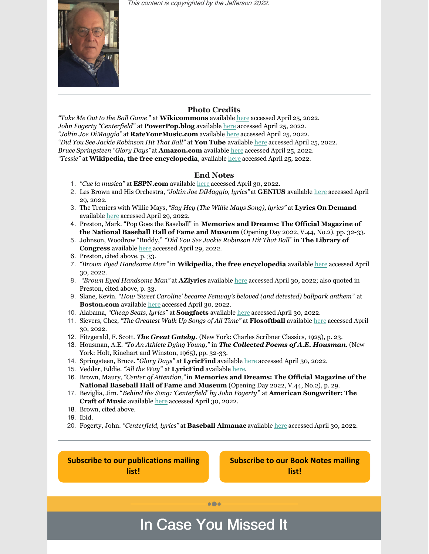This content is copyrighted by the Jefferson 2022.



#### **Photo Credits**

*"Take Me Out to the Ball Game* " at **Wikicommons** available [here](https://commons.wikimedia.org/wiki/File:TakeMeOutBallgameCover.jpg) accessed April 25, 2022. *John Fogerty "Centerfield"* at **PowerPop.blog** available [here](https://powerpop.blog/2020/02/19/john-fogerty-centerfield/) accessed April 25, 2022. *"Joltin Joe DiMaggio"* at **RateYourMusic.com** available [here](https://rateyourmusic.com/release/single/les-brown/joltin-joe-dimaggio-the-nickel-serenade-the-coin-machine-song-1/) accessed April 25, 2022. *"Did You See Jackie Robinson Hit That Ball"* at **You Tube** available [here](https://www.youtube.com/watch?v=eiM5E6oTM70) accessed April 25, 2022. *Bruce Springsteen "Glory Days"* at **Amazon.com** available [here](https://www.amazon.com/glory-days-same-rpm-single/dp/B00412C1WS) accessed April 25, 2022. *"Tessie"* at **Wikipedia, the free encyclopedia**, available [here](https://en.wikipedia.org/wiki/Tessie) accessed April 25, 2022.

#### **End Notes**

- 1. *"Cue la musica"* at **ESPN.com** available [here](https://www.espn.com/mlb/story/_/id/8910295/boston-red-sox-david-ortiz-latino-baseball-players-find-connection-heritage-music-espn-magazine) accessed April 30, 2022.
- 2. Les Brown and His Orchestra, *"Joltin Joe DiMaggio, lyrics"* at **GENIUS** available [here](https://genius.com/The-les-brown-orchestra-joltin-joe-dimaggio-lyrics) accessed April 29, 2022.
- 3. The Treniers with Willie Mays, *"Say Hey (The Willie Mays Song), lyrics"* at **Lyrics On Demand** available [here](https://www.lyricsondemand.com/soundtracks/a/aboutlastnightlyrics/sayheywilliemayslyrics.html) accessed April 29, 2022.
- 4. Preston, Mark. "Pop Goes the Baseball" in **Memories and Dreams: The Official Magazine of the National Baseball Hall of Fame and Museum** (Opening Day 2022, V.44, No.2), pp. 32-33.
- 5. Johnson, Woodrow "Buddy," *"Did You See Jackie Robinson Hit That Ball"* in **The Library of Congress** available [here](https://www.loc.gov/collections/jackie-robinson-baseball/articles-and-essays/baseball-the-color-line-and-jackie-robinson/did-you-see-jackie-robinson-hit-that-ball/) accessed April 29, 2022.
- 6. Preston, cited above, p. 33.
- 7. *"Brown Eyed Handsome Man"* in **Wikipedia, the free encyclopedia** available [here](https://en.wikipedia.org/wiki/Brown_Eyed_Handsome_Man) accessed April 30, 2022.
- 8. *"Brown Eyed Handsome Man"* at **AZlyrics** available [here](https://www.azlyrics.com/lyrics/buddyholly/browneyedhandsomeman.html) accessed April 30, 2022; also quoted in Preston, cited above, p. 33.
- 9. Slane, Kevin. *"How 'Sweet Caroline' became Fenway's beloved (and detested) ballpark anthem"* at **Boston.com** available [here](https://www.youtube.com/watch?v=3AfD1cEZvKs) accessed April 30, 2022.
- 10. Alabama, *"Cheap Seats, lyrics"* at **Songfacts** available [here](https://www.songfacts.com/lyrics/alabama/the-cheap-seats) accessed April 30, 2022.
- 11. Sievers, Chez, *"The Greatest Walk Up Songs of All Time"* at **Flosoftball** available [here](https://www.flosoftball.com/articles/5048535-the-greatest-walk-up-songs-of-all-time) accessed April 30, 2022.
- 12. Fitzgerald, F. Scott. *The Great Gatsby*. (New York: Charles Scribner Classics, 1925), p. 23.
- 13. Housman, A.E. *"To An Athlete Dying Young,"* in *The Collected Poems of A.E. Housman.* (New York: Holt, Rinehart and Winston, 1965), pp. 32-33.
- 14. Springsteen, Bruce. "*Glory Days"* at **LyricFind** available [here](https:) accessed April 30, 2022.
- 15. Vedder, Eddie. *"All the Way"* at **LyricFind** available here.
- 16. Brown, Maury, *"Center of Attention,"*in **Memories and Dreams: The Official Magazine of the National Baseball Hall of Fame and Museum** (Opening Day 2022, V.44, No.2), p. 29.
- 17. Beviglia, Jim. "*Behind the Song: 'Centerfield' by John Fogerty*" at **American Songwriter: The Craft of Music** available [here](https://americansongwriter.com/behind-the-song-centerfield-by-john-fogerty/) accessed April 30, 2022.
- 18. Brown, cited above.
- 19. Ibid.
- 20. Fogerty, John. *"Centerfield, lyrics"* at **Baseball Almanac** available [here](https://www.baseball-almanac.com/poetry/po_scf.shtml) accessed April 30, 2022.

In Case You Missed It

 $\bullet$   $\bullet$   $\bullet$ 

**Subscribe to our [publications](https://lp.constantcontactpages.com/su/OYSOPRt/PublicationsSubscription?source_id=78fcfe0d-7c76-458b-b5d0-189f735c3fbc&source_type=em&c=) mailing list!**

**[Subscribe](https://lp.constantcontactpages.com/su/TXbaxH2/BookNotesSubscription?source_id=78fcfe0d-7c76-458b-b5d0-189f735c3fbc&source_type=em&c=) to our Book Notes mailing list!**